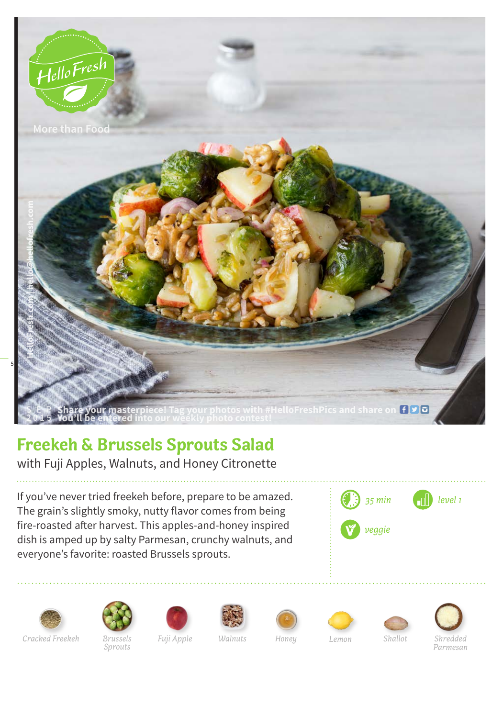

## **Freekeh & Brussels Sprouts Salad**

with Fuji Apples, Walnuts, and Honey Citronette

If you've never tried freekeh before, prepare to be amazed. The grain's slightly smoky, nutty flavor comes from being fire-roasted after harvest. This apples-and-honey inspired dish is amped up by salty Parmesan, crunchy walnuts, and everyone's favorite: roasted Brussels sprouts.



















*Sprouts*